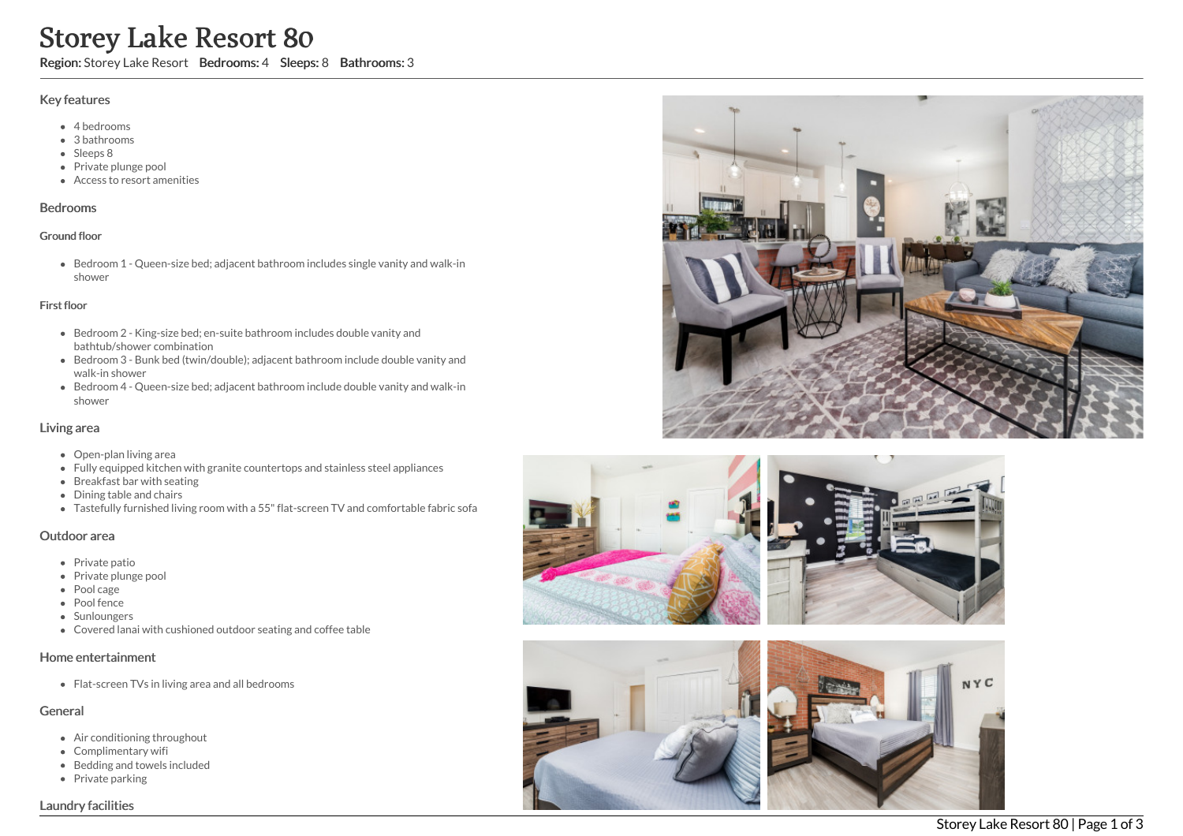# Storey Lake Resort 80

Region: Storey Lake Resort Bedrooms: 4 Sleeps: 8 Bathrooms: 3

#### Key features

- 4 bedrooms
- 3 bathrooms
- Sleeps 8
- Private plunge pool
- Access to resort amenities

### Bedrooms

#### Ground floor

Bedroom 1 - Queen-size bed; adjacent bathroom includes single vanity and walk-in shower

#### First floor

- Bedroom 2 King-size bed; en-suite bathroom includes double vanity and bathtub/shower combination
- Bedroom 3 Bunk bed (twin/double); adjacent bathroom include double vanity and walk-in shower
- Bedroom 4 Queen-size bed; adjacent bathroom include double vanity and walk-in shower

## Living area

- Open-plan living area
- Fully equipped kitchen with granite countertops and stainless steel appliances
- Breakfast bar with seating
- Dining table and chairs
- Tastefully furnished living room with a 55"flat-screen TV and comfortable fabric sofa

## Outdoor area

- Private patio
- Private plunge pool
- Pool cage
- Pool fence
- Sunloungers
- Covered lanai with cushioned outdoor seating and coffee table

## Home entertainment

• Flat-screen TVs in living area and all bedrooms

## General

- Air conditioning throughout
- Complimentary wifi
- Bedding and towels included
- Private parking







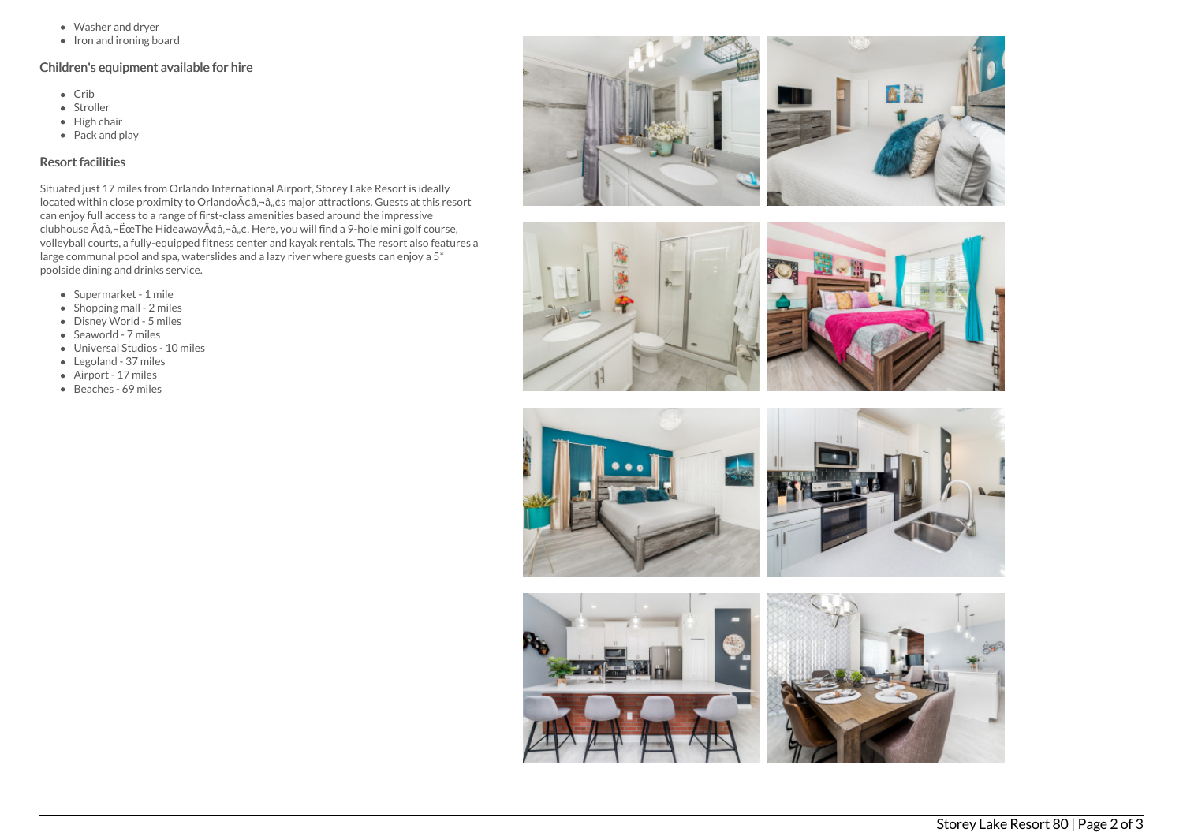- Washer and dryer
- $\bullet$  Iron and ironing board

# Children's equipment available for hire

- Crib
- Stroller
- $\bullet$  High chair
- Pack and play

# Resort facilities

Situated just 17 miles from Orlando International Airport, Storey Lake Resort is ideally located within close proximity to Orlando ââ, ¬â, ¢s major attractions. Guests at this resort can enjoy full access to a range of first-class amenities based around the impressive clubhouse  $A\phi$ â, $\neg$ ËœThe Hideaway $A\phi$ â, $\neg$ â, $\phi$ . Here, you will find a 9-hole mini golf course, volleyball courts, a fully-equipped fitness center and kayak rentals. The resort also features a large communal pool and spa, waterslides and a lazy river where guests can enjoy a 5\* poolside dining and drinks service.

- Supermarket 1 mile
- $\bullet$  Shopping mall 2 miles
- Disney World 5 miles
- Seaworld 7 miles
- Universal Studios 10 miles
- Legoland 37 miles
- Airport 17 miles
- Beaches 69 miles